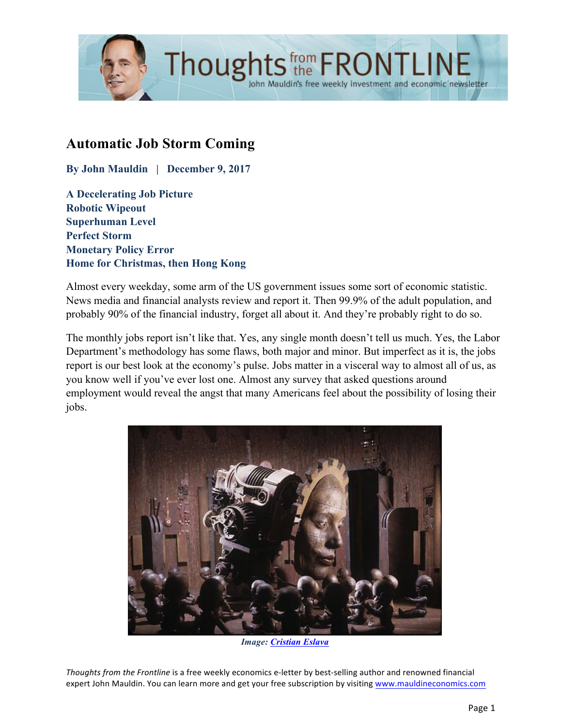

## **Automatic Job Storm Coming**

**By John Mauldin | December 9, 2017**

**A Decelerating Job Picture Robotic Wipeout Superhuman Level Perfect Storm Monetary Policy Error Home for Christmas, then Hong Kong**

Almost every weekday, some arm of the US government issues some sort of economic statistic. News media and financial analysts review and report it. Then 99.9% of the adult population, and probably 90% of the financial industry, forget all about it. And they're probably right to do so.

The monthly jobs report isn't like that. Yes, any single month doesn't tell us much. Yes, the Labor Department's methodology has some flaws, both major and minor. But imperfect as it is, the jobs report is our best look at the economy's pulse. Jobs matter in a visceral way to almost all of us, as you know well if you've ever lost one. Almost any survey that asked questions around employment would reveal the angst that many Americans feel about the possibility of losing their jobs.



*Image: [Cristian Eslava](https://www.flickr.com/photos/ceslava/3758549633/in/photolist-6J8xRT-93ZBKr-p9oXE-qB9uRq-9j87Pz-3kyGF5-jsALT-943EVs-e216vs-2RwVF7-64oRkP-fzWox7-5hW6xr-jb8D5-8VLDyg-2Zauz-mbgr4-3hNh1x-dr4ngm-64HZaK-rrhBU-6hMJEj-9kMSgS-98y6XA-6KZEKf-3a6Uxp-9CybpD-a6z7Kp-nT8Nbx-9XDEo-dS1f2H-8KURyT-dKycAo-9zpYpp-93ZBGx-bSrvYv-d9jL5h-8D1DiE-3hQyai-ZooeFS-6j4SFX-5LdQuB-4erqfu-cwMmQ-6KVuTF-7WRWpr-7Map8N-9iVXUy-5NEyG-93ZBCP)*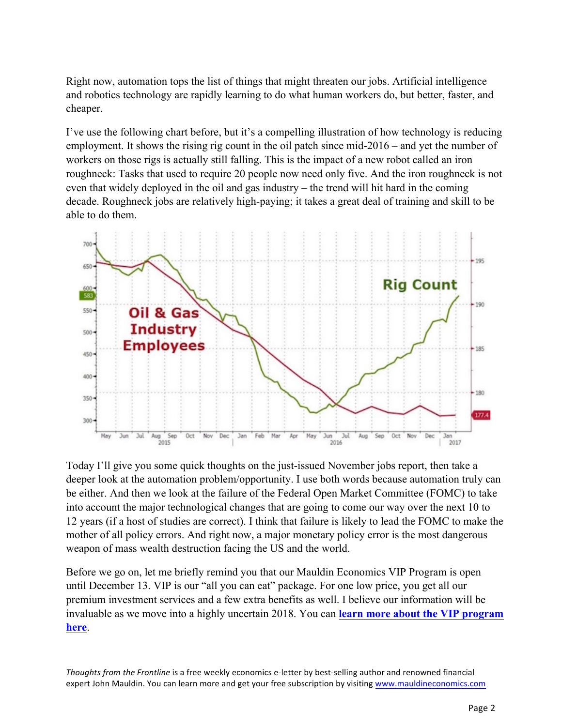Right now, automation tops the list of things that might threaten our jobs. Artificial intelligence and robotics technology are rapidly learning to do what human workers do, but better, faster, and cheaper.

I've use the following chart before, but it's a compelling illustration of how technology is reducing employment. It shows the rising rig count in the oil patch since mid-2016 – and yet the number of workers on those rigs is actually still falling. This is the impact of a new robot called an iron roughneck: Tasks that used to require 20 people now need only five. And the iron roughneck is not even that widely deployed in the oil and gas industry – the trend will hit hard in the coming decade. Roughneck jobs are relatively high-paying; it takes a great deal of training and skill to be able to do them.



Today I'll give you some quick thoughts on the just-issued November jobs report, then take a deeper look at the automation problem/opportunity. I use both words because automation truly can be either. And then we look at the failure of the Federal Open Market Committee (FOMC) to take into account the major technological changes that are going to come our way over the next 10 to 12 years (if a host of studies are correct). I think that failure is likely to lead the FOMC to make the mother of all policy errors. And right now, a major monetary policy error is the most dangerous weapon of mass wealth destruction facing the US and the world.

Before we go on, let me briefly remind you that our Mauldin Economics VIP Program is open until December 13. VIP is our "all you can eat" package. For one low price, you get all our premium investment services and a few extra benefits as well. I believe our information will be [invaluable as we move into a highly uncertain 2018. You can](http://www.mauldineconomics.com/go/v37z92/MEC) **learn more about the VIP program here**.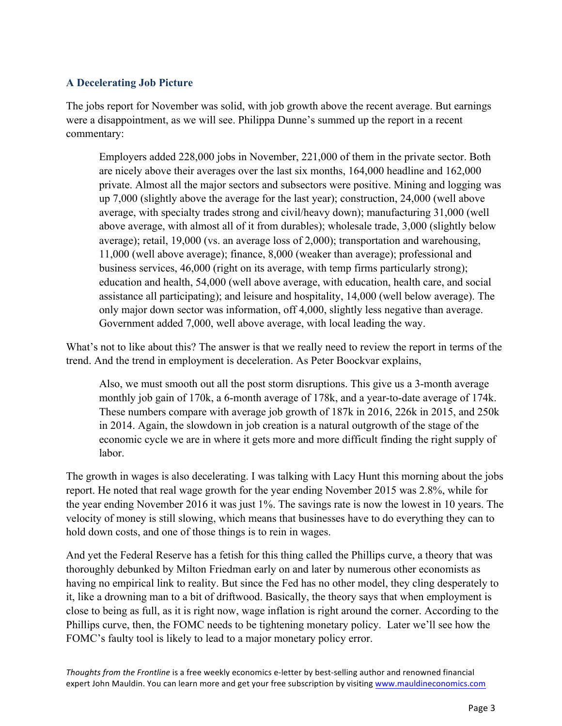### **A Decelerating Job Picture**

The jobs report for November was solid, with job growth above the recent average. But earnings were a disappointment, as we will see. Philippa Dunne's summed up the report in a recent commentary:

Employers added 228,000 jobs in November, 221,000 of them in the private sector. Both are nicely above their averages over the last six months, 164,000 headline and 162,000 private. Almost all the major sectors and subsectors were positive. Mining and logging was up 7,000 (slightly above the average for the last year); construction, 24,000 (well above average, with specialty trades strong and civil/heavy down); manufacturing 31,000 (well above average, with almost all of it from durables); wholesale trade, 3,000 (slightly below average); retail, 19,000 (vs. an average loss of 2,000); transportation and warehousing, 11,000 (well above average); finance, 8,000 (weaker than average); professional and business services, 46,000 (right on its average, with temp firms particularly strong); education and health, 54,000 (well above average, with education, health care, and social assistance all participating); and leisure and hospitality, 14,000 (well below average). The only major down sector was information, off 4,000, slightly less negative than average. Government added 7,000, well above average, with local leading the way.

What's not to like about this? The answer is that we really need to review the report in terms of the trend. And the trend in employment is deceleration. As Peter Boockvar explains,

Also, we must smooth out all the post storm disruptions. This give us a 3-month average monthly job gain of 170k, a 6-month average of 178k, and a year-to-date average of 174k. These numbers compare with average job growth of 187k in 2016, 226k in 2015, and 250k in 2014. Again, the slowdown in job creation is a natural outgrowth of the stage of the economic cycle we are in where it gets more and more difficult finding the right supply of labor.

The growth in wages is also decelerating. I was talking with Lacy Hunt this morning about the jobs report. He noted that real wage growth for the year ending November 2015 was 2.8%, while for the year ending November 2016 it was just 1%. The savings rate is now the lowest in 10 years. The velocity of money is still slowing, which means that businesses have to do everything they can to hold down costs, and one of those things is to rein in wages.

And yet the Federal Reserve has a fetish for this thing called the Phillips curve, a theory that was thoroughly debunked by Milton Friedman early on and later by numerous other economists as having no empirical link to reality. But since the Fed has no other model, they cling desperately to it, like a drowning man to a bit of driftwood. Basically, the theory says that when employment is close to being as full, as it is right now, wage inflation is right around the corner. According to the Phillips curve, then, the FOMC needs to be tightening monetary policy. Later we'll see how the FOMC's faulty tool is likely to lead to a major monetary policy error.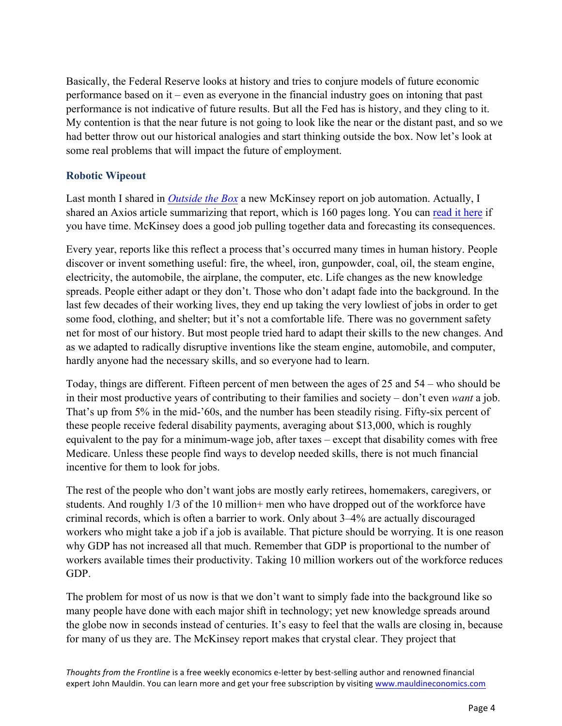Basically, the Federal Reserve looks at history and tries to conjure models of future economic performance based on it – even as everyone in the financial industry goes on intoning that past performance is not indicative of future results. But all the Fed has is history, and they cling to it. My contention is that the near future is not going to look like the near or the distant past, and so we had better throw out our historical analogies and start thinking outside the box. Now let's look at some real problems that will impact the future of employment.

### **Robotic Wipeout**

Last month I shared in *[Outside the Box](http://www.mauldineconomics.com/outsidethebox/mckinsey-automation-may-wipe-out-1-3-of-americas-workforce-by-2030)* a new McKinsey report on job automation. Actually, I shared an Axios article summarizing that report, which is 160 pages long. You can [read it here](https://www.mckinsey.com/~/media/mckinsey/global themes/future of organizations/what the future of work will mean for jobs skills and wages/mgi jobs lost-jobs gained_report_december 2017.ashx) if you have time. McKinsey does a good job pulling together data and forecasting its consequences.

Every year, reports like this reflect a process that's occurred many times in human history. People discover or invent something useful: fire, the wheel, iron, gunpowder, coal, oil, the steam engine, electricity, the automobile, the airplane, the computer, etc. Life changes as the new knowledge spreads. People either adapt or they don't. Those who don't adapt fade into the background. In the last few decades of their working lives, they end up taking the very lowliest of jobs in order to get some food, clothing, and shelter; but it's not a comfortable life. There was no government safety net for most of our history. But most people tried hard to adapt their skills to the new changes. And as we adapted to radically disruptive inventions like the steam engine, automobile, and computer, hardly anyone had the necessary skills, and so everyone had to learn.

Today, things are different. Fifteen percent of men between the ages of 25 and 54 – who should be in their most productive years of contributing to their families and society – don't even *want* a job. That's up from 5% in the mid-'60s, and the number has been steadily rising. Fifty-six percent of these people receive federal disability payments, averaging about \$13,000, which is roughly equivalent to the pay for a minimum-wage job, after taxes – except that disability comes with free Medicare. Unless these people find ways to develop needed skills, there is not much financial incentive for them to look for jobs.

The rest of the people who don't want jobs are mostly early retirees, homemakers, caregivers, or students. And roughly 1/3 of the 10 million+ men who have dropped out of the workforce have criminal records, which is often a barrier to work. Only about 3–4% are actually discouraged workers who might take a job if a job is available. That picture should be worrying. It is one reason why GDP has not increased all that much. Remember that GDP is proportional to the number of workers available times their productivity. Taking 10 million workers out of the workforce reduces GDP.

The problem for most of us now is that we don't want to simply fade into the background like so many people have done with each major shift in technology; yet new knowledge spreads around the globe now in seconds instead of centuries. It's easy to feel that the walls are closing in, because for many of us they are. The McKinsey report makes that crystal clear. They project that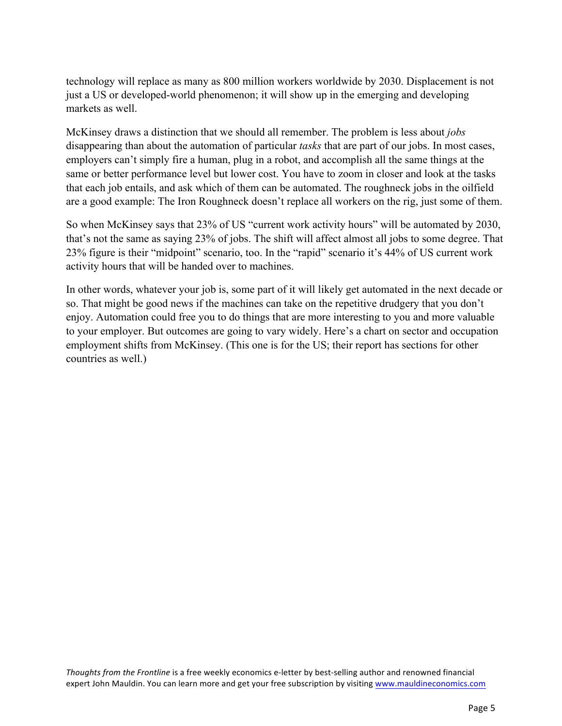technology will replace as many as 800 million workers worldwide by 2030. Displacement is not just a US or developed-world phenomenon; it will show up in the emerging and developing markets as well.

McKinsey draws a distinction that we should all remember. The problem is less about *jobs* disappearing than about the automation of particular *tasks* that are part of our jobs. In most cases, employers can't simply fire a human, plug in a robot, and accomplish all the same things at the same or better performance level but lower cost. You have to zoom in closer and look at the tasks that each job entails, and ask which of them can be automated. The roughneck jobs in the oilfield are a good example: The Iron Roughneck doesn't replace all workers on the rig, just some of them.

So when McKinsey says that 23% of US "current work activity hours" will be automated by 2030, that's not the same as saying 23% of jobs. The shift will affect almost all jobs to some degree. That 23% figure is their "midpoint" scenario, too. In the "rapid" scenario it's 44% of US current work activity hours that will be handed over to machines.

In other words, whatever your job is, some part of it will likely get automated in the next decade or so. That might be good news if the machines can take on the repetitive drudgery that you don't enjoy. Automation could free you to do things that are more interesting to you and more valuable to your employer. But outcomes are going to vary widely. Here's a chart on sector and occupation employment shifts from McKinsey. (This one is for the US; their report has sections for other countries as well.)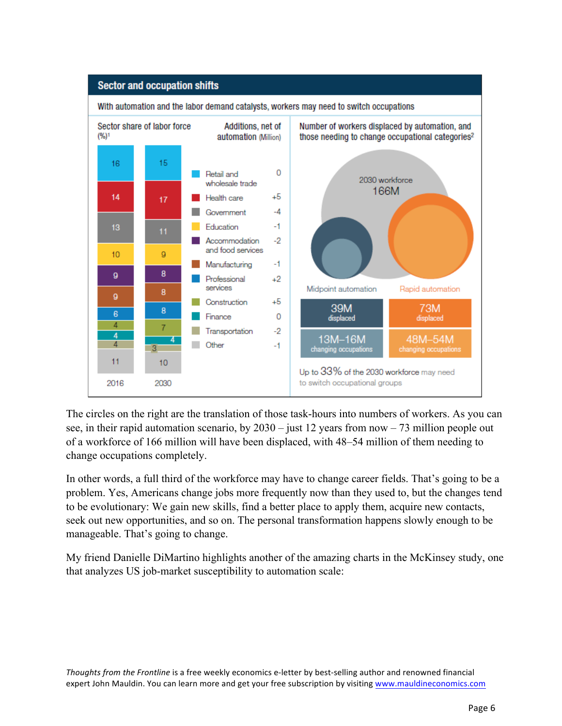

The circles on the right are the translation of those task-hours into numbers of workers. As you can see, in their rapid automation scenario, by 2030 – just 12 years from now – 73 million people out of a workforce of 166 million will have been displaced, with 48–54 million of them needing to change occupations completely.

In other words, a full third of the workforce may have to change career fields. That's going to be a problem. Yes, Americans change jobs more frequently now than they used to, but the changes tend to be evolutionary: We gain new skills, find a better place to apply them, acquire new contacts, seek out new opportunities, and so on. The personal transformation happens slowly enough to be manageable. That's going to change.

My friend Danielle DiMartino highlights another of the amazing charts in the McKinsey study, one that analyzes US job-market susceptibility to automation scale: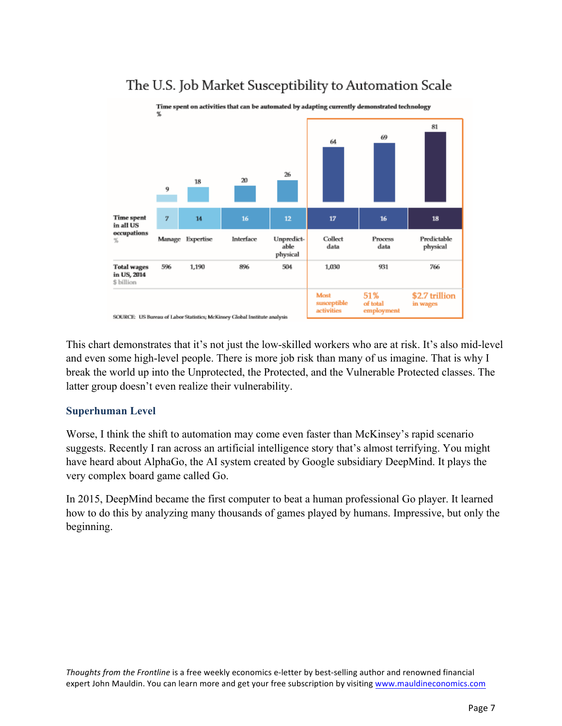

# The U.S. Job Market Susceptibility to Automation Scale

This chart demonstrates that it's not just the low-skilled workers who are at risk. It's also mid-level and even some high-level people. There is more job risk than many of us imagine. That is why I break the world up into the Unprotected, the Protected, and the Vulnerable Protected classes. The latter group doesn't even realize their vulnerability.

## **Superhuman Level**

Worse, I think the shift to automation may come even faster than McKinsey's rapid scenario suggests. Recently I ran across an artificial intelligence story that's almost terrifying. You might have heard about AlphaGo, the AI system created by Google subsidiary DeepMind. It plays the very complex board game called Go.

In 2015, DeepMind became the first computer to beat a human professional Go player. It learned how to do this by analyzing many thousands of games played by humans. Impressive, but only the beginning.

SOURCE: US Bureau of Labor Statistics; McKinsey Global Institute analysis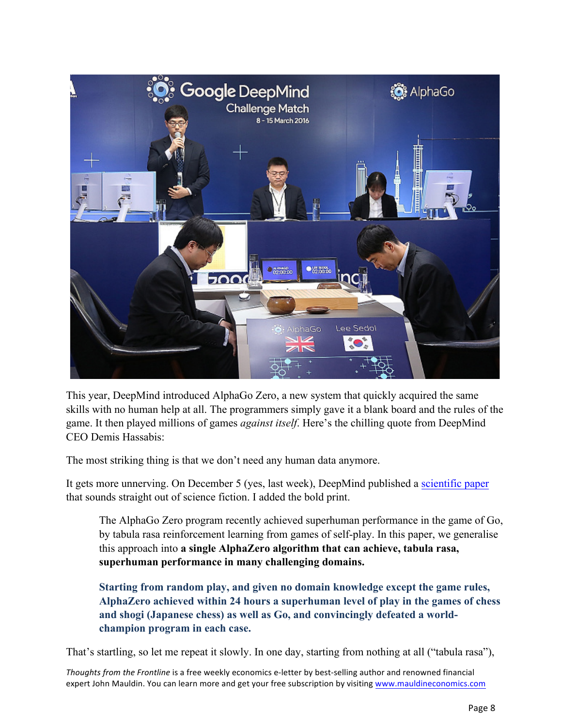

This year, DeepMind introduced AlphaGo Zero, a new system that quickly acquired the same skills with no human help at all. The programmers simply gave it a blank board and the rules of the game. It then played millions of games *against itself*. Here's the chilling quote from DeepMind CEO Demis Hassabis:

The most striking thing is that we don't need any human data anymore.

It gets more unnerving. On December 5 (yes, last week), DeepMind published a [scientific paper](https://arxiv.org/abs/1712.01815?utm_source=MIT+Technology+Review&utm_campaign=127e3d3140-The_Download&utm_medium=email&utm_term=0_997ed6f472-127e3d3140-153697765) that sounds straight out of science fiction. I added the bold print.

The AlphaGo Zero program recently achieved superhuman performance in the game of Go, by tabula rasa reinforcement learning from games of self-play. In this paper, we generalise this approach into **a single AlphaZero algorithm that can achieve, tabula rasa, superhuman performance in many challenging domains.**

**Starting from random play, and given no domain knowledge except the game rules, AlphaZero achieved within 24 hours a superhuman level of play in the games of chess and shogi (Japanese chess) as well as Go, and convincingly defeated a worldchampion program in each case.**

That's startling, so let me repeat it slowly. In one day, starting from nothing at all ("tabula rasa"),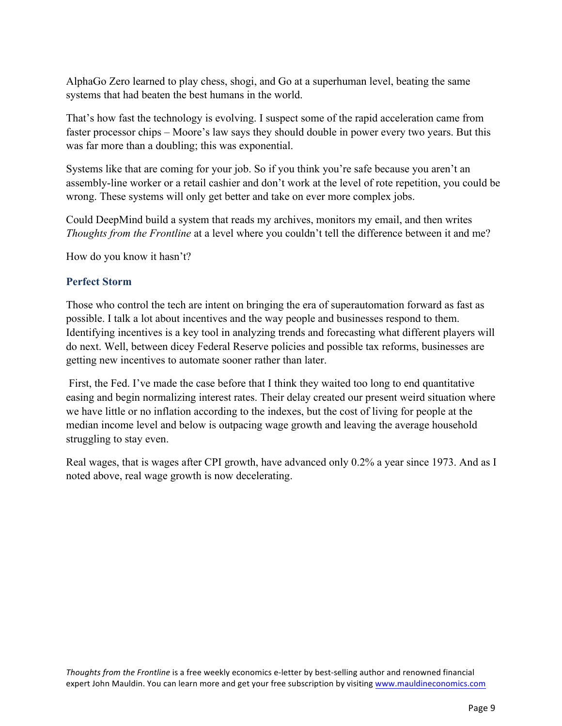AlphaGo Zero learned to play chess, shogi, and Go at a superhuman level, beating the same systems that had beaten the best humans in the world.

That's how fast the technology is evolving. I suspect some of the rapid acceleration came from faster processor chips – Moore's law says they should double in power every two years. But this was far more than a doubling; this was exponential.

Systems like that are coming for your job. So if you think you're safe because you aren't an assembly-line worker or a retail cashier and don't work at the level of rote repetition, you could be wrong. These systems will only get better and take on ever more complex jobs.

Could DeepMind build a system that reads my archives, monitors my email, and then writes *Thoughts from the Frontline* at a level where you couldn't tell the difference between it and me?

How do you know it hasn't?

#### **Perfect Storm**

Those who control the tech are intent on bringing the era of superautomation forward as fast as possible. I talk a lot about incentives and the way people and businesses respond to them. Identifying incentives is a key tool in analyzing trends and forecasting what different players will do next. Well, between dicey Federal Reserve policies and possible tax reforms, businesses are getting new incentives to automate sooner rather than later.

First, the Fed. I've made the case before that I think they waited too long to end quantitative easing and begin normalizing interest rates. Their delay created our present weird situation where we have little or no inflation according to the indexes, but the cost of living for people at the median income level and below is outpacing wage growth and leaving the average household struggling to stay even.

Real wages, that is wages after CPI growth, have advanced only 0.2% a year since 1973. And as I noted above, real wage growth is now decelerating.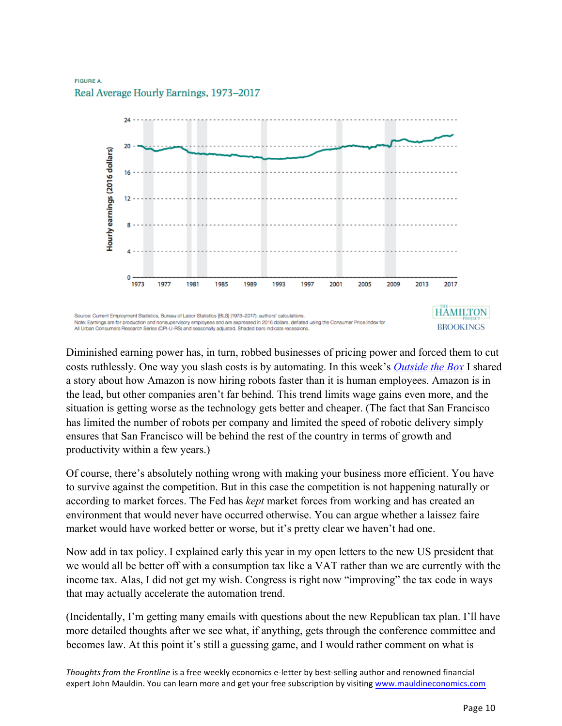FIGURE A.

Real Average Hourly Earnings, 1973-2017



Diminished earning power has, in turn, robbed businesses of pricing power and forced them to cut costs ruthlessly. One way you slash costs is by automating. In this week's *[Outside the Box](http://www.mauldineconomics.com/outsidethebox/does-amazon-create-jobs-well-it-hired-75000-robots-in-2017)* I shared a story about how Amazon is now hiring robots faster than it is human employees. Amazon is in the lead, but other companies aren't far behind. This trend limits wage gains even more, and the situation is getting worse as the technology gets better and cheaper. (The fact that San Francisco has limited the number of robots per company and limited the speed of robotic delivery simply ensures that San Francisco will be behind the rest of the country in terms of growth and productivity within a few years.)

Of course, there's absolutely nothing wrong with making your business more efficient. You have to survive against the competition. But in this case the competition is not happening naturally or according to market forces. The Fed has *kept* market forces from working and has created an environment that would never have occurred otherwise. You can argue whether a laissez faire market would have worked better or worse, but it's pretty clear we haven't had one.

Now add in tax policy. I explained early this year in my open letters to the new US president that we would all be better off with a consumption tax like a VAT rather than we are currently with the income tax. Alas, I did not get my wish. Congress is right now "improving" the tax code in ways that may actually accelerate the automation trend.

(Incidentally, I'm getting many emails with questions about the new Republican tax plan. I'll have more detailed thoughts after we see what, if anything, gets through the conference committee and becomes law. At this point it's still a guessing game, and I would rather comment on what is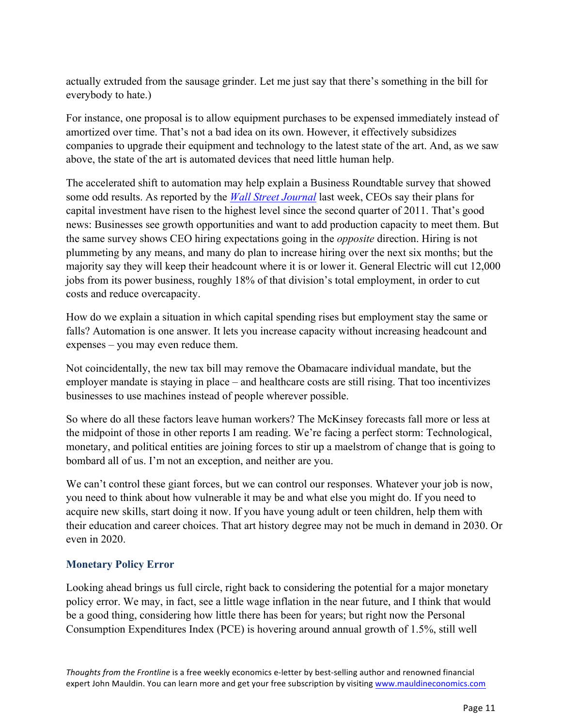actually extruded from the sausage grinder. Let me just say that there's something in the bill for everybody to hate.)

For instance, one proposal is to allow equipment purchases to be expensed immediately instead of amortized over time. That's not a bad idea on its own. However, it effectively subsidizes companies to upgrade their equipment and technology to the latest state of the art. And, as we saw above, the state of the art is automated devices that need little human help.

The accelerated shift to automation may help explain a Business Roundtable survey that showed some odd results. As reported by the *[Wall Street Journal](https://blogs.wsj.com/economics/2017/12/05/corporate-ceos-say-increased-capital-spending-rests-on-tax-reform/)* last week, CEOs say their plans for capital investment have risen to the highest level since the second quarter of 2011. That's good news: Businesses see growth opportunities and want to add production capacity to meet them. But the same survey shows CEO hiring expectations going in the *opposite* direction. Hiring is not plummeting by any means, and many do plan to increase hiring over the next six months; but the majority say they will keep their headcount where it is or lower it. General Electric will cut 12,000 jobs from its power business, roughly 18% of that division's total employment, in order to cut costs and reduce overcapacity.

How do we explain a situation in which capital spending rises but employment stay the same or falls? Automation is one answer. It lets you increase capacity without increasing headcount and expenses – you may even reduce them.

Not coincidentally, the new tax bill may remove the Obamacare individual mandate, but the employer mandate is staying in place – and healthcare costs are still rising. That too incentivizes businesses to use machines instead of people wherever possible.

So where do all these factors leave human workers? The McKinsey forecasts fall more or less at the midpoint of those in other reports I am reading. We're facing a perfect storm: Technological, monetary, and political entities are joining forces to stir up a maelstrom of change that is going to bombard all of us. I'm not an exception, and neither are you.

We can't control these giant forces, but we can control our responses. Whatever your job is now, you need to think about how vulnerable it may be and what else you might do. If you need to acquire new skills, start doing it now. If you have young adult or teen children, help them with their education and career choices. That art history degree may not be much in demand in 2030. Or even in 2020.

#### **Monetary Policy Error**

Looking ahead brings us full circle, right back to considering the potential for a major monetary policy error. We may, in fact, see a little wage inflation in the near future, and I think that would be a good thing, considering how little there has been for years; but right now the Personal Consumption Expenditures Index (PCE) is hovering around annual growth of 1.5%, still well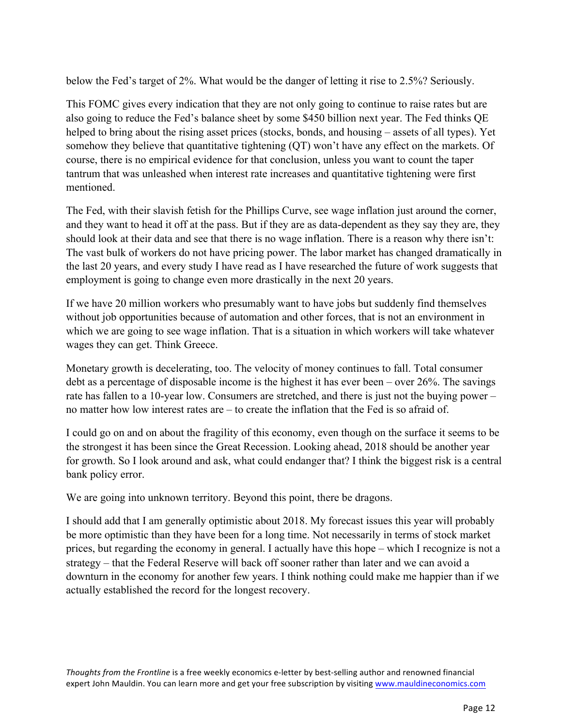below the Fed's target of 2%. What would be the danger of letting it rise to 2.5%? Seriously.

This FOMC gives every indication that they are not only going to continue to raise rates but are also going to reduce the Fed's balance sheet by some \$450 billion next year. The Fed thinks QE helped to bring about the rising asset prices (stocks, bonds, and housing – assets of all types). Yet somehow they believe that quantitative tightening (QT) won't have any effect on the markets. Of course, there is no empirical evidence for that conclusion, unless you want to count the taper tantrum that was unleashed when interest rate increases and quantitative tightening were first mentioned.

The Fed, with their slavish fetish for the Phillips Curve, see wage inflation just around the corner, and they want to head it off at the pass. But if they are as data-dependent as they say they are, they should look at their data and see that there is no wage inflation. There is a reason why there isn't: The vast bulk of workers do not have pricing power. The labor market has changed dramatically in the last 20 years, and every study I have read as I have researched the future of work suggests that employment is going to change even more drastically in the next 20 years.

If we have 20 million workers who presumably want to have jobs but suddenly find themselves without job opportunities because of automation and other forces, that is not an environment in which we are going to see wage inflation. That is a situation in which workers will take whatever wages they can get. Think Greece.

Monetary growth is decelerating, too. The velocity of money continues to fall. Total consumer debt as a percentage of disposable income is the highest it has ever been – over 26%. The savings rate has fallen to a 10-year low. Consumers are stretched, and there is just not the buying power – no matter how low interest rates are – to create the inflation that the Fed is so afraid of.

I could go on and on about the fragility of this economy, even though on the surface it seems to be the strongest it has been since the Great Recession. Looking ahead, 2018 should be another year for growth. So I look around and ask, what could endanger that? I think the biggest risk is a central bank policy error.

We are going into unknown territory. Beyond this point, there be dragons.

I should add that I am generally optimistic about 2018. My forecast issues this year will probably be more optimistic than they have been for a long time. Not necessarily in terms of stock market prices, but regarding the economy in general. I actually have this hope – which I recognize is not a strategy – that the Federal Reserve will back off sooner rather than later and we can avoid a downturn in the economy for another few years. I think nothing could make me happier than if we actually established the record for the longest recovery.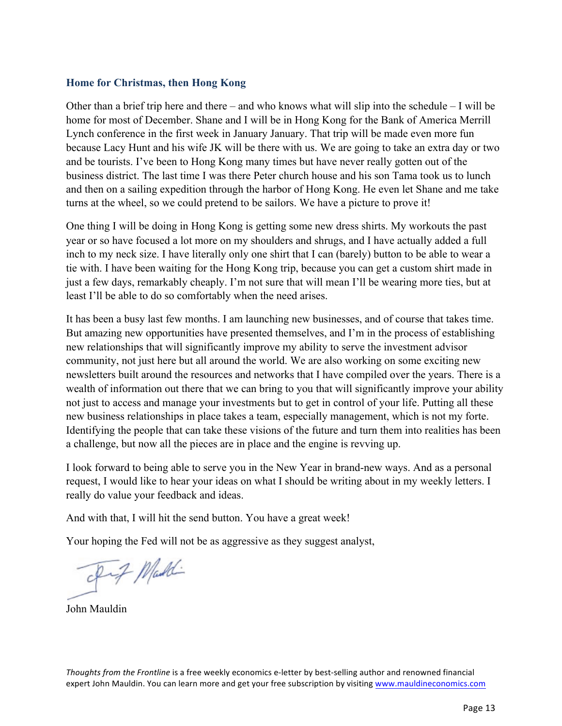#### **Home for Christmas, then Hong Kong**

Other than a brief trip here and there – and who knows what will slip into the schedule – I will be home for most of December. Shane and I will be in Hong Kong for the Bank of America Merrill Lynch conference in the first week in January January. That trip will be made even more fun because Lacy Hunt and his wife JK will be there with us. We are going to take an extra day or two and be tourists. I've been to Hong Kong many times but have never really gotten out of the business district. The last time I was there Peter church house and his son Tama took us to lunch and then on a sailing expedition through the harbor of Hong Kong. He even let Shane and me take turns at the wheel, so we could pretend to be sailors. We have a picture to prove it!

One thing I will be doing in Hong Kong is getting some new dress shirts. My workouts the past year or so have focused a lot more on my shoulders and shrugs, and I have actually added a full inch to my neck size. I have literally only one shirt that I can (barely) button to be able to wear a tie with. I have been waiting for the Hong Kong trip, because you can get a custom shirt made in just a few days, remarkably cheaply. I'm not sure that will mean I'll be wearing more ties, but at least I'll be able to do so comfortably when the need arises.

It has been a busy last few months. I am launching new businesses, and of course that takes time. But amazing new opportunities have presented themselves, and I'm in the process of establishing new relationships that will significantly improve my ability to serve the investment advisor community, not just here but all around the world. We are also working on some exciting new newsletters built around the resources and networks that I have compiled over the years. There is a wealth of information out there that we can bring to you that will significantly improve your ability not just to access and manage your investments but to get in control of your life. Putting all these new business relationships in place takes a team, especially management, which is not my forte. Identifying the people that can take these visions of the future and turn them into realities has been a challenge, but now all the pieces are in place and the engine is revving up.

I look forward to being able to serve you in the New Year in brand-new ways. And as a personal request, I would like to hear your ideas on what I should be writing about in my weekly letters. I really do value your feedback and ideas.

And with that, I will hit the send button. You have a great week!

Your hoping the Fed will not be as aggressive as they suggest analyst,

Fif Maddi

John Mauldin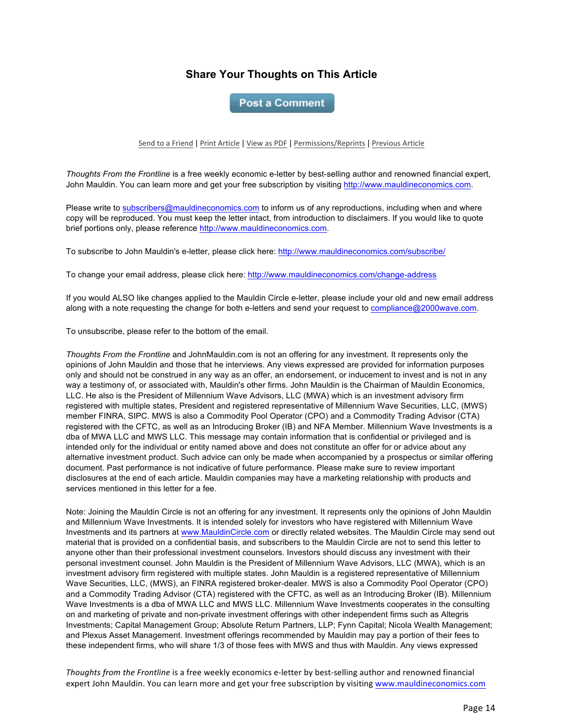## **Share Your Thoughts on This Article**

**Post a Comment** 

Send to a Friend | Print Article | View as PDF | Permissions/Reprints | Previous Article

*Thoughts From the Frontline* is a free weekly economic e-letter by best-selling author and renowned financial expert, John Mauldin. You can learn more and get your free subscription by visiting http://www.mauldineconomics.com.

Please write to subscribers@mauldineconomics.com to inform us of any reproductions, including when and where copy will be reproduced. You must keep the letter intact, from introduction to disclaimers. If you would like to quote brief portions only, please reference http://www.mauldineconomics.com.

To subscribe to John Mauldin's e-letter, please click here: http://www.mauldineconomics.com/subscribe/

To change your email address, please click here: http://www.mauldineconomics.com/change-address

If you would ALSO like changes applied to the Mauldin Circle e-letter, please include your old and new email address along with a note requesting the change for both e-letters and send your request to compliance@2000wave.com.

To unsubscribe, please refer to the bottom of the email.

*Thoughts From the Frontline* and JohnMauldin.com is not an offering for any investment. It represents only the opinions of John Mauldin and those that he interviews. Any views expressed are provided for information purposes only and should not be construed in any way as an offer, an endorsement, or inducement to invest and is not in any way a testimony of, or associated with, Mauldin's other firms. John Mauldin is the Chairman of Mauldin Economics, LLC. He also is the President of Millennium Wave Advisors, LLC (MWA) which is an investment advisory firm registered with multiple states, President and registered representative of Millennium Wave Securities, LLC, (MWS) member FINRA, SIPC. MWS is also a Commodity Pool Operator (CPO) and a Commodity Trading Advisor (CTA) registered with the CFTC, as well as an Introducing Broker (IB) and NFA Member. Millennium Wave Investments is a dba of MWA LLC and MWS LLC. This message may contain information that is confidential or privileged and is intended only for the individual or entity named above and does not constitute an offer for or advice about any alternative investment product. Such advice can only be made when accompanied by a prospectus or similar offering document. Past performance is not indicative of future performance. Please make sure to review important disclosures at the end of each article. Mauldin companies may have a marketing relationship with products and services mentioned in this letter for a fee.

Note: Joining the Mauldin Circle is not an offering for any investment. It represents only the opinions of John Mauldin and Millennium Wave Investments. It is intended solely for investors who have registered with Millennium Wave Investments and its partners at www.MauldinCircle.com or directly related websites. The Mauldin Circle may send out material that is provided on a confidential basis, and subscribers to the Mauldin Circle are not to send this letter to anyone other than their professional investment counselors. Investors should discuss any investment with their personal investment counsel. John Mauldin is the President of Millennium Wave Advisors, LLC (MWA), which is an investment advisory firm registered with multiple states. John Mauldin is a registered representative of Millennium Wave Securities, LLC, (MWS), an FINRA registered broker-dealer. MWS is also a Commodity Pool Operator (CPO) and a Commodity Trading Advisor (CTA) registered with the CFTC, as well as an Introducing Broker (IB). Millennium Wave Investments is a dba of MWA LLC and MWS LLC. Millennium Wave Investments cooperates in the consulting on and marketing of private and non-private investment offerings with other independent firms such as Altegris Investments; Capital Management Group; Absolute Return Partners, LLP; Fynn Capital; Nicola Wealth Management; and Plexus Asset Management. Investment offerings recommended by Mauldin may pay a portion of their fees to these independent firms, who will share 1/3 of those fees with MWS and thus with Mauldin. Any views expressed